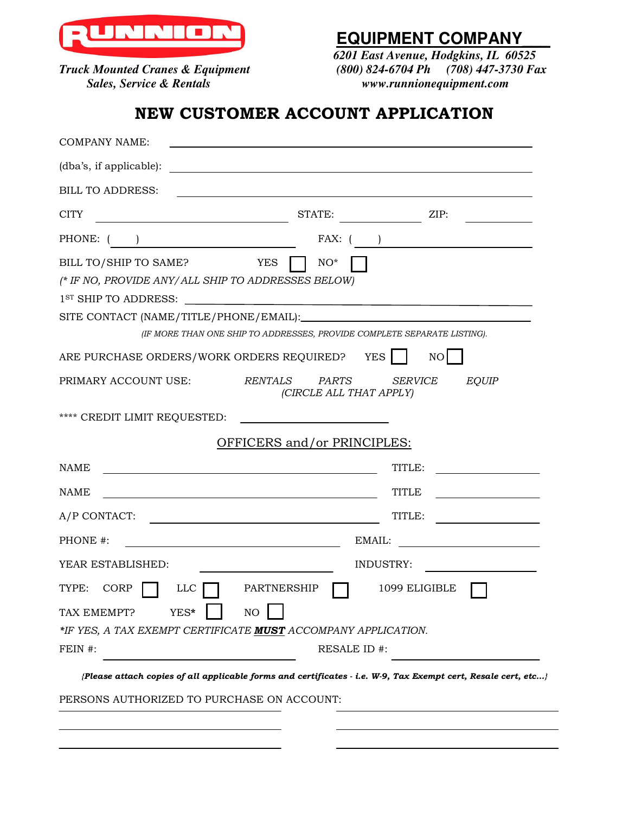

## **NECESSITY** EQUIPMENT COMPANY

 *6201 East Avenue, Hodgkins, IL 60525 K Mounted Cranes & Equipment* (800) 824-6704 Ph (708) 447-3730 Fax <br>Sales, Service & Rentals *Tagery Remayaum Remays (800) 824-6704 Ph*  $www.runnionequipment.com$ 

## NEW CUSTOMER ACCOUNT APPLICATION

| <b>COMPANY NAME:</b>                                                                                                            | and the control of the control of the control of the control of the control of the control of the control of the    |  |
|---------------------------------------------------------------------------------------------------------------------------------|---------------------------------------------------------------------------------------------------------------------|--|
| (dba's, if applicable):                                                                                                         | and the control of the control of the control of the control of the control of the control of the control of the    |  |
| <b>BILL TO ADDRESS:</b>                                                                                                         | <u> 1980 - Jan Sterling, mars and de la politica de la politica de la politica de la politica de la politica de</u> |  |
| <b>CITY</b>                                                                                                                     | STATE:<br>ZIP:                                                                                                      |  |
| PHONE: (                                                                                                                        | FAX: (                                                                                                              |  |
| BILL TO/SHIP TO SAME?<br>YES<br>(* IF NO, PROVIDE ANY/ALL SHIP TO ADDRESSES BELOW)<br>SITE CONTACT (NAME/TITLE/PHONE/EMAIL):    | $NO^*$                                                                                                              |  |
|                                                                                                                                 | (IF MORE THAN ONE SHIP TO ADDRESSES, PROVIDE COMPLETE SEPARATE LISTING).                                            |  |
| ARE PURCHASE ORDERS/WORK ORDERS REQUIRED?                                                                                       | <b>YES</b><br>NO                                                                                                    |  |
| <b>RENTALS</b><br>PRIMARY ACCOUNT USE:                                                                                          | PARTS<br><b>EQUIP</b><br><b>SERVICE</b><br>(CIRCLE ALL THAT APPLY)                                                  |  |
| **** CREDIT LIMIT REQUESTED:                                                                                                    |                                                                                                                     |  |
|                                                                                                                                 | OFFICERS and/or PRINCIPLES:                                                                                         |  |
| <b>NAME</b><br>and the control of the control of the control of the control of the control of the control of the control of the | TITLE:                                                                                                              |  |
| NAME<br><u> 1980 - Johann Stein, marwolaethau a bhann an t-Amhair ann an t-Amhair an t-Amhair an t-Amhair an t-Amhair an </u>   | TITLE<br>the control of the control of the control                                                                  |  |
| A/P CONTACT:                                                                                                                    | TITLE:<br>the control of the control of the control of                                                              |  |
| PHONE #:                                                                                                                        | EMAIL:                                                                                                              |  |
| YEAR ESTABLISHED:                                                                                                               | <b>INDUSTRY:</b>                                                                                                    |  |
| TYPE:<br>CORP<br><b>LLC</b><br>PARTNERSHIP                                                                                      | 1099 ELIGIBLE                                                                                                       |  |
| YES*<br>NO<br>TAX EMEMPT?                                                                                                       |                                                                                                                     |  |
| *IF YES, A TAX EXEMPT CERTIFICATE MUST ACCOMPANY APPLICATION.<br>FEIN #:                                                        | RESALE ID #:                                                                                                        |  |
|                                                                                                                                 | {Please attach copies of all applicable forms and certificates - i.e. W-9, Tax Exempt cert, Resale cert, etc}       |  |
| PERSONS AUTHORIZED TO PURCHASE ON ACCOUNT:                                                                                      |                                                                                                                     |  |
|                                                                                                                                 |                                                                                                                     |  |